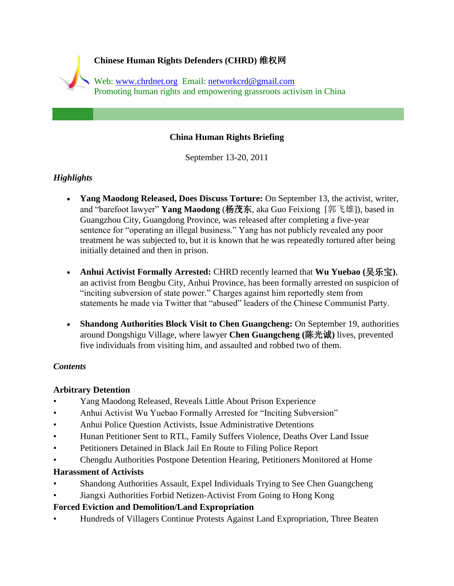

## **China Human Rights Briefing**

September 13-20, 2011

# *Highlights*

- **Yang Maodong Released, Does Discuss Torture:** On September 13, the activist, writer, and "barefoot lawyer" **Yang Maodong** (杨茂东, aka Guo Feixiong [郭飞雄]), based in Guangzhou City, Guangdong Province, was released after completing a five-year sentence for "operating an illegal business." Yang has not publicly revealed any poor treatment he was subjected to, but it is known that he was repeatedly tortured after being initially detained and then in prison.
- **Anhui Activist Formally Arrested:** CHRD recently learned that **Wu Yuebao (**吴乐宝**)**, an activist from Bengbu City, Anhui Province, has been formally arrested on suspicion of "inciting subversion of state power." Charges against him reportedly stem from statements he made via Twitter that "abused" leaders of the Chinese Communist Party.
- **Shandong Authorities Block Visit to Chen Guangcheng:** On September 19, authorities around Dongshigu Village, where lawyer **Chen Guangcheng (**陈光诚**)** lives, prevented five individuals from visiting him, and assaulted and robbed two of them.

# *Contents*

## **Arbitrary Detention**

- Yang Maodong Released, Reveals Little About Prison Experience
- Anhui Activist Wu Yuebao Formally Arrested for "Inciting Subversion"
- Anhui Police Question Activists, Issue Administrative Detentions
- Hunan Petitioner Sent to RTL, Family Suffers Violence, Deaths Over Land Issue
- Petitioners Detained in Black Jail En Route to Filing Police Report
- Chengdu Authorities Postpone Detention Hearing, Petitioners Monitored at Home

# **Harassment of Activists**

- Shandong Authorities Assault, Expel Individuals Trying to See Chen Guangcheng
- Jiangxi Authorities Forbid Netizen-Activist From Going to Hong Kong

# **Forced Eviction and Demolition/Land Expropriation**

• Hundreds of Villagers Continue Protests Against Land Expropriation, Three Beaten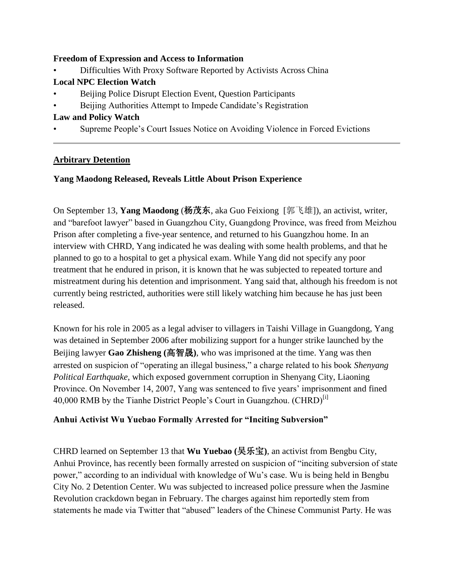### **Freedom of Expression and Access to Information**

• Difficulties With Proxy Software Reported by Activists Across China

# **Local NPC Election Watch**

- Beijing Police Disrupt Election Event, Question Participants
- Beijing Authorities Attempt to Impede Candidate's Registration

## **Law and Policy Watch**

• Supreme People"s Court Issues Notice on Avoiding Violence in Forced Evictions

## **Arbitrary Detention**

## **Yang Maodong Released, Reveals Little About Prison Experience**

On September 13, **Yang Maodong** (杨茂东, aka Guo Feixiong [郭飞雄]), an activist, writer, and "barefoot lawyer" based in Guangzhou City, Guangdong Province, was freed from Meizhou Prison after completing a five-year sentence, and returned to his Guangzhou home. In an interview with CHRD, Yang indicated he was dealing with some health problems, and that he planned to go to a hospital to get a physical exam. While Yang did not specify any poor treatment that he endured in prison, it is known that he was subjected to repeated torture and mistreatment during his detention and imprisonment. Yang said that, although his freedom is not currently being restricted, authorities were still likely watching him because he has just been released.

Known for his role in 2005 as a legal adviser to villagers in Taishi Village in Guangdong, Yang was detained in September 2006 after mobilizing support for a hunger strike launched by the Beijing lawyer **Gao Zhisheng (**高智晟**)**, who was imprisoned at the time. Yang was then arrested on suspicion of "operating an illegal business," a charge related to his book *Shenyang Political Earthquake*, which exposed government corruption in Shenyang City, Liaoning Province. On November 14, 2007, Yang was sentenced to five years' imprisonment and fined 40,000 RMB by the Tianhe District People's Court in Guangzhou. (CHRD)<sup>[i]</sup>

## **Anhui Activist Wu Yuebao Formally Arrested for "Inciting Subversion"**

CHRD learned on September 13 that **Wu Yuebao (**吴乐宝**)**, an activist from Bengbu City, Anhui Province, has recently been formally arrested on suspicion of "inciting subversion of state power," according to an individual with knowledge of Wu"s case. Wu is being held in Bengbu City No. 2 Detention Center. Wu was subjected to increased police pressure when the Jasmine Revolution crackdown began in February. The charges against him reportedly stem from statements he made via Twitter that "abused" leaders of the Chinese Communist Party. He was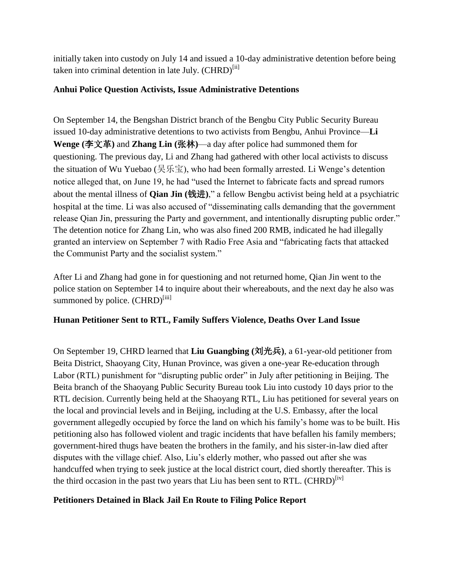initially taken into custody on July 14 and issued a 10-day administrative detention before being taken into criminal detention in late July.  $(CHRD)^{[ii]}$ 

## **Anhui Police Question Activists, Issue Administrative Detentions**

On September 14, the Bengshan District branch of the Bengbu City Public Security Bureau issued 10-day administrative detentions to two activists from Bengbu, Anhui Province—**Li Wenge (**李文革**)** and **Zhang Lin (**张林**)**—a day after police had summoned them for questioning. The previous day, Li and Zhang had gathered with other local activists to discuss the situation of Wu Yuebao (吴乐宝), who had been formally arrested. Li Wenge's detention notice alleged that, on June 19, he had "used the Internet to fabricate facts and spread rumors about the mental illness of **Qian Jin (**钱进**)**," a fellow Bengbu activist being held at a psychiatric hospital at the time. Li was also accused of "disseminating calls demanding that the government release Qian Jin, pressuring the Party and government, and intentionally disrupting public order." The detention notice for Zhang Lin, who was also fined 200 RMB, indicated he had illegally granted an interview on September 7 with Radio Free Asia and "fabricating facts that attacked the Communist Party and the socialist system."

After Li and Zhang had gone in for questioning and not returned home, Qian Jin went to the police station on September 14 to inquire about their whereabouts, and the next day he also was summoned by police. (CHRD)<sup>[iii]</sup>

# **Hunan Petitioner Sent to RTL, Family Suffers Violence, Deaths Over Land Issue**

On September 19, CHRD learned that **Liu Guangbing (**刘光兵**)**, a 61-year-old petitioner from Beita District, Shaoyang City, Hunan Province, was given a one-year Re-education through Labor (RTL) punishment for "disrupting public order" in July after petitioning in Beijing. The Beita branch of the Shaoyang Public Security Bureau took Liu into custody 10 days prior to the RTL decision. Currently being held at the Shaoyang RTL, Liu has petitioned for several years on the local and provincial levels and in Beijing, including at the U.S. Embassy, after the local government allegedly occupied by force the land on which his family"s home was to be built. His petitioning also has followed violent and tragic incidents that have befallen his family members; government-hired thugs have beaten the brothers in the family, and his sister-in-law died after disputes with the village chief. Also, Liu"s elderly mother, who passed out after she was handcuffed when trying to seek justice at the local district court, died shortly thereafter. This is the third occasion in the past two years that Liu has been sent to RTL.  $(CHRD)^{[iv]}$ 

# **Petitioners Detained in Black Jail En Route to Filing Police Report**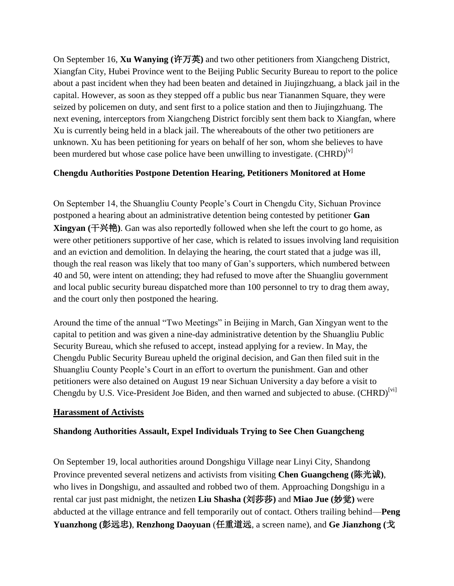On September 16, **Xu Wanying (**许万英**)** and two other petitioners from Xiangcheng District, Xiangfan City, Hubei Province went to the Beijing Public Security Bureau to report to the police about a past incident when they had been beaten and detained in Jiujingzhuang, a black jail in the capital. However, as soon as they stepped off a public bus near Tiananmen Square, they were seized by policemen on duty, and sent first to a police station and then to Jiujingzhuang. The next evening, interceptors from Xiangcheng District forcibly sent them back to Xiangfan, where Xu is currently being held in a black jail. The whereabouts of the other two petitioners are unknown. Xu has been petitioning for years on behalf of her son, whom she believes to have been murdered but whose case police have been unwilling to investigate.  $(CHRD)^{[v]}$ 

### **Chengdu Authorities Postpone Detention Hearing, Petitioners Monitored at Home**

On September 14, the Shuangliu County People"s Court in Chengdu City, Sichuan Province postponed a hearing about an administrative detention being contested by petitioner **Gan Xingyan (**干兴艳**)**. Gan was also reportedly followed when she left the court to go home, as were other petitioners supportive of her case, which is related to issues involving land requisition and an eviction and demolition. In delaying the hearing, the court stated that a judge was ill, though the real reason was likely that too many of Gan"s supporters, which numbered between 40 and 50, were intent on attending; they had refused to move after the Shuangliu government and local public security bureau dispatched more than 100 personnel to try to drag them away, and the court only then postponed the hearing.

Around the time of the annual "Two Meetings" in Beijing in March, Gan Xingyan went to the capital to petition and was given a nine-day administrative detention by the Shuangliu Public Security Bureau, which she refused to accept, instead applying for a review. In May, the Chengdu Public Security Bureau upheld the original decision, and Gan then filed suit in the Shuangliu County People"s Court in an effort to overturn the punishment. Gan and other petitioners were also detained on August 19 near Sichuan University a day before a visit to Chengdu by U.S. Vice-President Joe Biden, and then warned and subjected to abuse. (CHRD)<sup>[vi]</sup>

#### **Harassment of Activists**

#### **Shandong Authorities Assault, Expel Individuals Trying to See Chen Guangcheng**

On September 19, local authorities around Dongshigu Village near Linyi City, Shandong Province prevented several netizens and activists from visiting **Chen Guangcheng (**陈光诚**)**, who lives in Dongshigu, and assaulted and robbed two of them. Approaching Dongshigu in a rental car just past midnight, the netizen **Liu Shasha (**刘莎莎**)** and **Miao Jue (**妙觉**)** were abducted at the village entrance and fell temporarily out of contact. Others trailing behind—**Peng Yuanzhong (**彭远忠**)**, **Renzhong Daoyuan** (任重道远, a screen name), and **Ge Jianzhong (**戈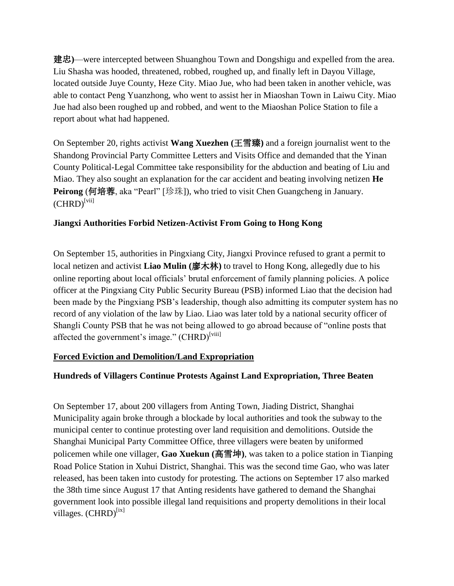建忠**)**—were intercepted between Shuanghou Town and Dongshigu and expelled from the area. Liu Shasha was hooded, threatened, robbed, roughed up, and finally left in Dayou Village, located outside Juye County, Heze City. Miao Jue, who had been taken in another vehicle, was able to contact Peng Yuanzhong, who went to assist her in Miaoshan Town in Laiwu City. Miao Jue had also been roughed up and robbed, and went to the Miaoshan Police Station to file a report about what had happened.

On September 20, rights activist **Wang Xuezhen (**王雪臻**)** and a foreign journalist went to the Shandong Provincial Party Committee Letters and Visits Office and demanded that the Yinan County Political-Legal Committee take responsibility for the abduction and beating of Liu and Miao. They also sought an explanation for the car accident and beating involving netizen **He Peirong** (何培蓉, aka "Pearl" [珍珠]), who tried to visit Chen Guangcheng in January.  $(CHRD)^{[\text{vii}]}$ 

## **Jiangxi Authorities Forbid Netizen-Activist From Going to Hong Kong**

On September 15, authorities in Pingxiang City, Jiangxi Province refused to grant a permit to local netizen and activist **Liao Mulin (**廖木林**)** to travel to Hong Kong, allegedly due to his online reporting about local officials" brutal enforcement of family planning policies. A police officer at the Pingxiang City Public Security Bureau (PSB) informed Liao that the decision had been made by the Pingxiang PSB"s leadership, though also admitting its computer system has no record of any violation of the law by Liao. Liao was later told by a national security officer of Shangli County PSB that he was not being allowed to go abroad because of "online posts that affected the government's image." (CHRD)<sup>[viii]</sup>

## **Forced Eviction and Demolition/Land Expropriation**

# **Hundreds of Villagers Continue Protests Against Land Expropriation, Three Beaten**

On September 17, about 200 villagers from Anting Town, Jiading District, Shanghai Municipality again broke through a blockade by local authorities and took the subway to the municipal center to continue protesting over land requisition and demolitions. Outside the Shanghai Municipal Party Committee Office, three villagers were beaten by uniformed policemen while one villager, **Gao Xuekun (**高雪坤**)**, was taken to a police station in Tianping Road Police Station in Xuhui District, Shanghai. This was the second time Gao, who was later released, has been taken into custody for protesting. The actions on September 17 also marked the 38th time since August 17 that Anting residents have gathered to demand the Shanghai government look into possible illegal land requisitions and property demolitions in their local villages.  $(CHRD)^{[ix]}$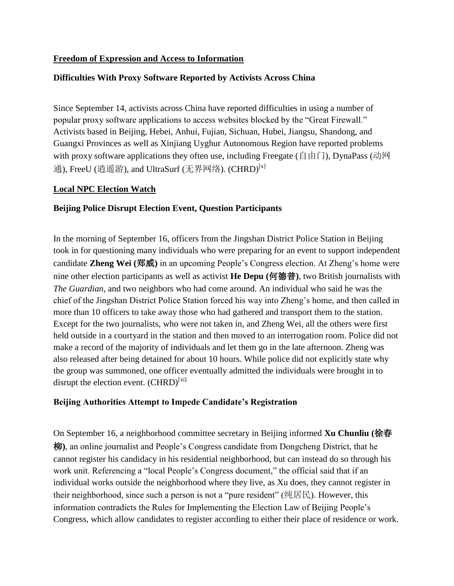### **Freedom of Expression and Access to Information**

### **Difficulties With Proxy Software Reported by Activists Across China**

Since September 14, activists across China have reported difficulties in using a number of popular proxy software applications to access websites blocked by the "Great Firewall." Activists based in Beijing, Hebei, Anhui, Fujian, Sichuan, Hubei, Jiangsu, Shandong, and Guangxi Provinces as well as Xinjiang Uyghur Autonomous Region have reported problems with proxy software applications they often use, including Freegate (自由门), DynaPass (动网 通), FreeU (逍遥游), and UltraSurf (无界网络). (CHRD)<sup>[x]</sup>

#### **Local NPC Election Watch**

### **Beijing Police Disrupt Election Event, Question Participants**

In the morning of September 16, officers from the Jingshan District Police Station in Beijing took in for questioning many individuals who were preparing for an event to support independent candidate **Zheng Wei (**郑威**)** in an upcoming People"s Congress election. At Zheng"s home were nine other election participants as well as activist **He Depu (**何德普**)**, two British journalists with *The Guardian*, and two neighbors who had come around. An individual who said he was the chief of the Jingshan District Police Station forced his way into Zheng"s home, and then called in more than 10 officers to take away those who had gathered and transport them to the station. Except for the two journalists, who were not taken in, and Zheng Wei, all the others were first held outside in a courtyard in the station and then moved to an interrogation room. Police did not make a record of the majority of individuals and let them go in the late afternoon. Zheng was also released after being detained for about 10 hours. While police did not explicitly state why the group was summoned, one officer eventually admitted the individuals were brought in to disrupt the election event.  $(CHRD)^{[xi]}$ 

#### **Beijing Authorities Attempt to Impede Candidate's Registration**

On September 16, a neighborhood committee secretary in Beijing informed **Xu Chunliu (**徐春 柳**)**, an online journalist and People"s Congress candidate from Dongcheng District, that he cannot register his candidacy in his residential neighborhood, but can instead do so through his work unit. Referencing a "local People"s Congress document," the official said that if an individual works outside the neighborhood where they live, as Xu does, they cannot register in their neighborhood, since such a person is not a "pure resident" (纯居民). However, this information contradicts the Rules for Implementing the Election Law of Beijing People"s Congress, which allow candidates to register according to either their place of residence or work.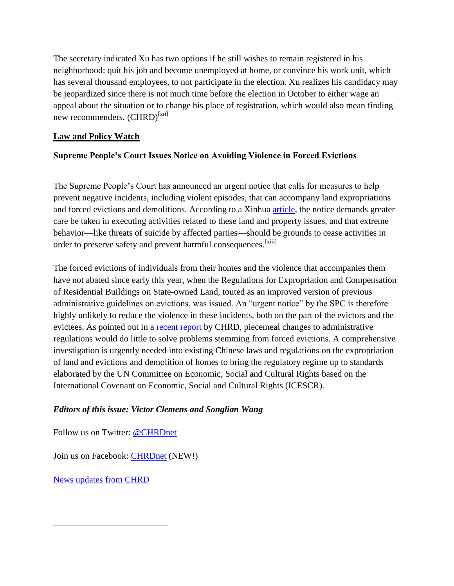The secretary indicated Xu has two options if he still wishes to remain registered in his neighborhood: quit his job and become unemployed at home, or convince his work unit, which has several thousand employees, to not participate in the election. Xu realizes his candidacy may be jeopardized since there is not much time before the election in October to either wage an appeal about the situation or to change his place of registration, which would also mean finding new recommenders.  $(CHRD)^{[xii]}$ 

## **Law and Policy Watch**

## **Supreme People's Court Issues Notice on Avoiding Violence in Forced Evictions**

The Supreme People's Court has announced an urgent notice that calls for measures to help prevent negative incidents, including violent episodes, that can accompany land expropriations and forced evictions and demolitions. According to a Xinhua [article,](http://news.xinhuanet.com/legal/2011-09/11/c_122019994.htm) the notice demands greater care be taken in executing activities related to these land and property issues, and that extreme behavior—like threats of suicide by affected parties—should be grounds to cease activities in order to preserve safety and prevent harmful consequences.<sup>[xiii]</sup>

The forced evictions of individuals from their homes and the violence that accompanies them have not abated since early this year, when the Regulations for Expropriation and Compensation of Residential Buildings on State-owned Land, touted as an improved version of previous administrative guidelines on evictions, was issued. An "urgent notice" by the SPC is therefore highly unlikely to reduce the violence in these incidents, both on the part of the evictors and the evictees. As pointed out in a [recent report](http://chrdnet.org/2010/02/08/thrown-out-human-rights-abuses-in-chinas-breakneck-real-estate-development/#_edn1) by CHRD, piecemeal changes to administrative regulations would do little to solve problems stemming from forced evictions. A comprehensive investigation is urgently needed into existing Chinese laws and regulations on the expropriation of land and evictions and demolition of homes to bring the regulatory regime up to standards elaborated by the UN Committee on Economic, Social and Cultural Rights based on the International Covenant on Economic, Social and Cultural Rights (ICESCR).

## *Editors of this issue: Victor Clemens and Songlian Wang*

Follow us on Twitter: [@CHRDnet](http://twitter.com/#%21/CHRDnet)

Join us on Facebook: [CHRDnet](http://www.facebook.com/pages/CHRDnet/222910954409129?ref=ts) (NEW!)

[News updates from CHRD](http://www.chrdnet.org/)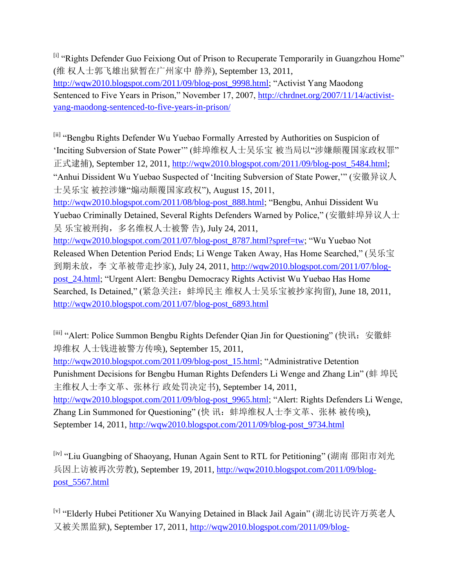<sup>[i]</sup> "Rights Defender Guo Feixiong Out of Prison to Recuperate Temporarily in Guangzhou Home" (维 权人士郭飞雄出狱暂在广州家中 静养), September 13, 2011,

[http://wqw2010.blogspot.com/2011/09/blog-post\\_9998.html;](http://wqw2010.blogspot.com/2011/09/blog-post_9998.html) "Activist Yang Maodong Sentenced to Five Years in Prison," November 17, 2007, [http://chrdnet.org/2007/11/14/activist](http://chrdnet.org/2007/11/14/activist-yang-maodong-sentenced-to-five-years-in-prison/)[yang-maodong-sentenced-to-five-years-in-prison/](http://chrdnet.org/2007/11/14/activist-yang-maodong-sentenced-to-five-years-in-prison/)

[ii] "Bengbu Rights Defender Wu Yuebao Formally Arrested by Authorities on Suspicion of 'Inciting Subversion of State Power"" (蚌埠维权人士吴乐宝 被当局以"涉嫌颠覆国家政权罪" 正式逮捕), September 12, 2011, [http://wqw2010.blogspot.com/2011/09/blog-post\\_5484.html;](http://wqw2010.blogspot.com/2011/09/blog-post_5484.html) "Anhui Dissident Wu Yuebao Suspected of "Inciting Subversion of State Power,"" (安徽异议人 士吴乐宝 被控涉嫌"煽动颠覆国家政权"), August 15, 2011, [http://wqw2010.blogspot.com/2011/08/blog-post\\_888.html;](http://wqw2010.blogspot.com/2011/08/blog-post_888.html) "Bengbu, Anhui Dissident Wu Yuebao Criminally Detained, Several Rights Defenders Warned by Police," (安徽蚌埠异议人士 吴 乐宝被刑拘, 多名维权人士被警 告), July 24, 2011, [http://wqw2010.blogspot.com/2011/07/blog-post\\_8787.html?spref=tw;](http://wqw2010.blogspot.com/2011/07/blog-post_8787.html?spref=tw) "Wu Yuebao Not Released When Detention Period Ends; Li Wenge Taken Away, Has Home Searched," (吴乐宝 到期未放, 李 文革被带走抄家), July 24, 2011, [http://wqw2010.blogspot.com/2011/07/blog](http://wqw2010.blogspot.com/2011/07/blog-post_24.html)[post\\_24.html;](http://wqw2010.blogspot.com/2011/07/blog-post_24.html) "Urgent Alert: Bengbu Democracy Rights Activist Wu Yuebao Has Home Searched, Is Detained," (紧急关注:蚌埠民主 维权人士吴乐宝被抄家拘留), June 18, 2011, [http://wqw2010.blogspot.com/2011/07/blog-post\\_6893.html](http://wqw2010.blogspot.com/2011/07/blog-post_6893.html)

[iii] "Alert: Police Summon Bengbu Rights Defender Qian Jin for Questioning" (快讯: 安徽蚌 埠维权 人士钱进被警方传唤), September 15, 2011,

[http://wqw2010.blogspot.com/2011/09/blog-post\\_15.html;](http://wqw2010.blogspot.com/2011/09/blog-post_15.html) "Administrative Detention Punishment Decisions for Bengbu Human Rights Defenders Li Wenge and Zhang Lin" (蚌 埠民 主维权人士李文革、张林行 政处罚决定书), September 14, 2011, [http://wqw2010.blogspot.com/2011/09/blog-post\\_9965.html;](http://wqw2010.blogspot.com/2011/09/blog-post_9965.html) "Alert: Rights Defenders Li Wenge, Zhang Lin Summoned for Questioning" (快 讯: 蚌埠维权人士李文革、张林 被传唤), September 14, 2011, [http://wqw2010.blogspot.com/2011/09/blog-post\\_9734.html](http://wqw2010.blogspot.com/2011/09/blog-post_9734.html)

[iv] "Liu Guangbing of Shaoyang, Hunan Again Sent to RTL for Petitioning" (湖南 邵阳市刘光 兵因上访被再次劳教), September 19, 2011, [http://wqw2010.blogspot.com/2011/09/blog](http://wqw2010.blogspot.com/2011/09/blog-post_5567.html)[post\\_5567.html](http://wqw2010.blogspot.com/2011/09/blog-post_5567.html)

[v] "Elderly Hubei Petitioner Xu Wanying Detained in Black Jail Again" (湖北访民许万英老人 又被关黑监狱), September 17, 2011, [http://wqw2010.blogspot.com/2011/09/blog-](http://wqw2010.blogspot.com/2011/09/blog-post_8407.html)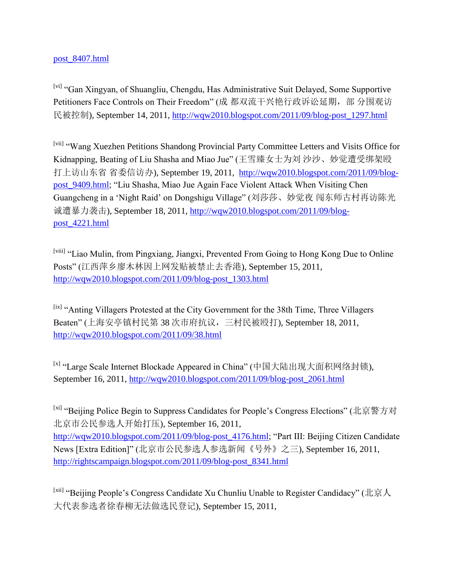### post\_8407.html

[vi] "Gan Xingyan, of Shuangliu, Chengdu, Has Administrative Suit Delayed, Some Supportive Petitioners Face Controls on Their Freedom" (成 都双流干兴艳行政诉讼延期, 部 分围观访 民被控制), September 14, 2011, [http://wqw2010.blogspot.com/2011/09/blog-post\\_1297.html](http://wqw2010.blogspot.com/2011/09/blog-post_1297.html)

[vii] "Wang Xuezhen Petitions Shandong Provincial Party Committee Letters and Visits Office for Kidnapping, Beating of Liu Shasha and Miao Jue" (王雪臻女士为刘 沙沙、妙觉遭受绑架殴 打上访山东省 省委信访办), September 19, 2011, [http://wqw2010.blogspot.com/2011/09/blog](http://wqw2010.blogspot.com/2011/09/blog-post_9409.html)[post\\_9409.html;](http://wqw2010.blogspot.com/2011/09/blog-post_9409.html) "Liu Shasha, Miao Jue Again Face Violent Attack When Visiting Chen Guangcheng in a "Night Raid" on Dongshigu Village" (刘莎莎、妙觉夜 闯东师古村再访陈光 诚遭暴力袭击), September 18, 2011, [http://wqw2010.blogspot.com/2011/09/blog](http://wqw2010.blogspot.com/2011/09/blog-post_4221.html)[post\\_4221.html](http://wqw2010.blogspot.com/2011/09/blog-post_4221.html)

[viii] "Liao Mulin, from Pingxiang, Jiangxi, Prevented From Going to Hong Kong Due to Online Posts" (江西萍乡廖木林因上网发贴被禁止去香港), September 15, 2011, [http://wqw2010.blogspot.com/2011/09/blog-post\\_1303.html](http://wqw2010.blogspot.com/2011/09/blog-post_1303.html)

[ix] "Anting Villagers Protested at the City Government for the 38th Time, Three Villagers Beaten" (上海安亭镇村民第 38 次市府抗议,三村民被殴打), September 18, 2011, <http://wqw2010.blogspot.com/2011/09/38.html>

[x] "Large Scale Internet Blockade Appeared in China" (中国大陆出现大面积网络封锁), September 16, 2011, [http://wqw2010.blogspot.com/2011/09/blog-post\\_2061.html](http://wqw2010.blogspot.com/2011/09/blog-post_2061.html)

[xi] "Beijing Police Begin to Suppress Candidates for People's Congress Elections" (北京警方对 北京市公民参选人开始打压), September 16, 2011, [http://wqw2010.blogspot.com/2011/09/blog-post\\_4176.html;](http://wqw2010.blogspot.com/2011/09/blog-post_4176.html) "Part III: Beijing Citizen Candidate News [Extra Edition]" (北京市公民参选人参选新闻《号外》之三), September 16, 2011, [http://rightscampaign.blogspot.com/2011/09/blog-post\\_8341.html](http://rightscampaign.blogspot.com/2011/09/blog-post_8341.html)

<sup>[xii]</sup> "Beijing People's Congress Candidate Xu Chunliu Unable to Register Candidacy" (北京人 大代表参选者徐春柳无法做选民登记), September 15, 2011,